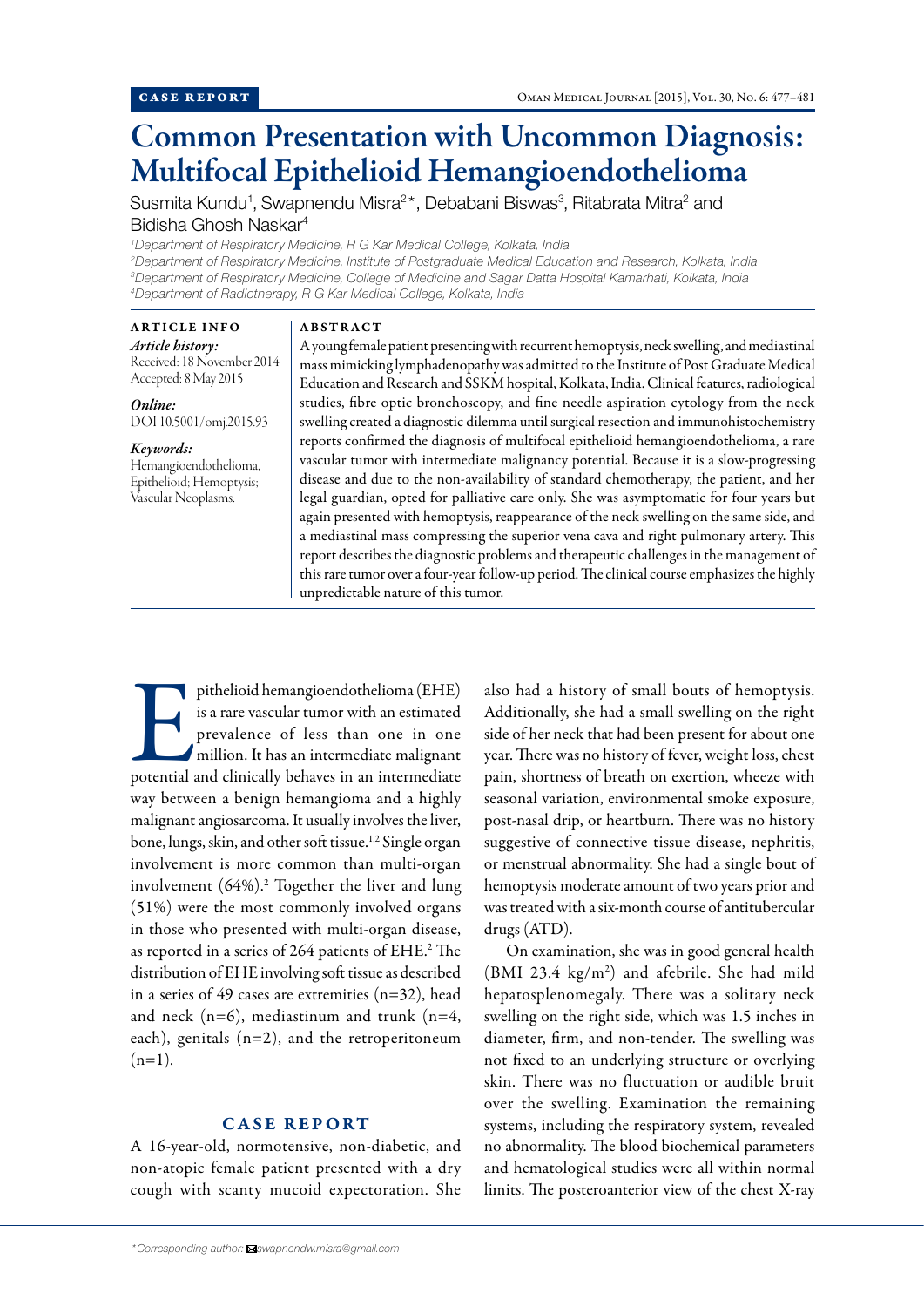# Common Presentation with Uncommon Diagnosis: Multifocal Epithelioid Hemangioendothelioma

Susmita Kundu<sup>1</sup>, Swapnendu Misra<sup>2\*</sup>, Debabani Biswas<sup>3</sup>, Ritabrata Mitra<sup>2</sup> and Bidisha Ghosh Naskar4

 *Department of Respiratory Medicine, R G Kar Medical College, Kolkata, India Department of Respiratory Medicine, Institute of Postgraduate Medical Education and Research, Kolkata, India Department of Respiratory Medicine, College of Medicine and Sagar Datta Hospital Kamarhati, Kolkata, India Department of Radiotherapy, R G Kar Medical College, Kolkata, India*

## ARTICLE INFO

*Article history:*  Received: 18 November 2014 Accepted: 8 May 2015

*Online:* DOI 10.5001/omj.2015.93

## *Keywords:*

Hemangioendothelioma, Epithelioid; Hemoptysis; Vascular Neoplasms.

### ABSTRACT

A young female patient presenting with recurrent hemoptysis, neck swelling, and mediastinal mass mimicking lymphadenopathy was admitted to the Institute of Post Graduate Medical Education and Research and SSKM hospital, Kolkata, India. Clinical features, radiological studies, fibre optic bronchoscopy, and fine needle aspiration cytology from the neck swelling created a diagnostic dilemma until surgical resection and immunohistochemistry reports confirmed the diagnosis of multifocal epithelioid hemangioendothelioma, a rare vascular tumor with intermediate malignancy potential. Because it is a slow-progressing disease and due to the non-availability of standard chemotherapy, the patient, and her legal guardian, opted for palliative care only. She was asymptomatic for four years but again presented with hemoptysis, reappearance of the neck swelling on the same side, and a mediastinal mass compressing the superior vena cava and right pulmonary artery. This report describes the diagnostic problems and therapeutic challenges in the management of this rare tumor over a four-year follow-up period. The clinical course emphasizes the highly unpredictable nature of this tumor.

pithelioid hemangioendothelioma (EHE) is a rare vascular tumor with an estimated prevalence of less than one in one million. It has an intermediate malignant potential and clinically behaves in an intermediate is a rare vascular tumor with an estimated prevalence of less than one in one million. It has an intermediate malignant way between a benign hemangioma and a highly malignant angiosarcoma. It usually involves the liver, bone, lungs, skin, and other soft tissue.1,2 Single organ involvement is more common than multi-organ involvement (64%).<sup>2</sup> Together the liver and lung (51%) were the most commonly involved organs in those who presented with multi-organ disease, as reported in a series of 264 patients of EHE.2 The distribution of EHE involving soft tissue as described in a series of 49 cases are extremities  $(n=32)$ , head and neck  $(n=6)$ , mediastinum and trunk  $(n=4)$ , each), genitals (n=2), and the retroperitoneum  $(n=1)$ .

# CASE REPORT

A 16-year-old, normotensive, non-diabetic, and non-atopic female patient presented with a dry cough with scanty mucoid expectoration. She also had a history of small bouts of hemoptysis. Additionally, she had a small swelling on the right side of her neck that had been present for about one year. There was no history of fever, weight loss, chest pain, shortness of breath on exertion, wheeze with seasonal variation, environmental smoke exposure, post-nasal drip, or heartburn. There was no history suggestive of connective tissue disease, nephritis, or menstrual abnormality. She had a single bout of hemoptysis moderate amount of two years prior and was treated with a six-month course of antitubercular drugs (ATD).

On examination, she was in good general health  $(BMI 23.4 kg/m<sup>2</sup>)$  and afebrile. She had mild hepatosplenomegaly. There was a solitary neck swelling on the right side, which was 1.5 inches in diameter, firm, and non-tender. The swelling was not fixed to an underlying structure or overlying skin. There was no fluctuation or audible bruit over the swelling. Examination the remaining systems, including the respiratory system, revealed no abnormality. The blood biochemical parameters and hematological studies were all within normal limits. The posteroanterior view of the chest X-ray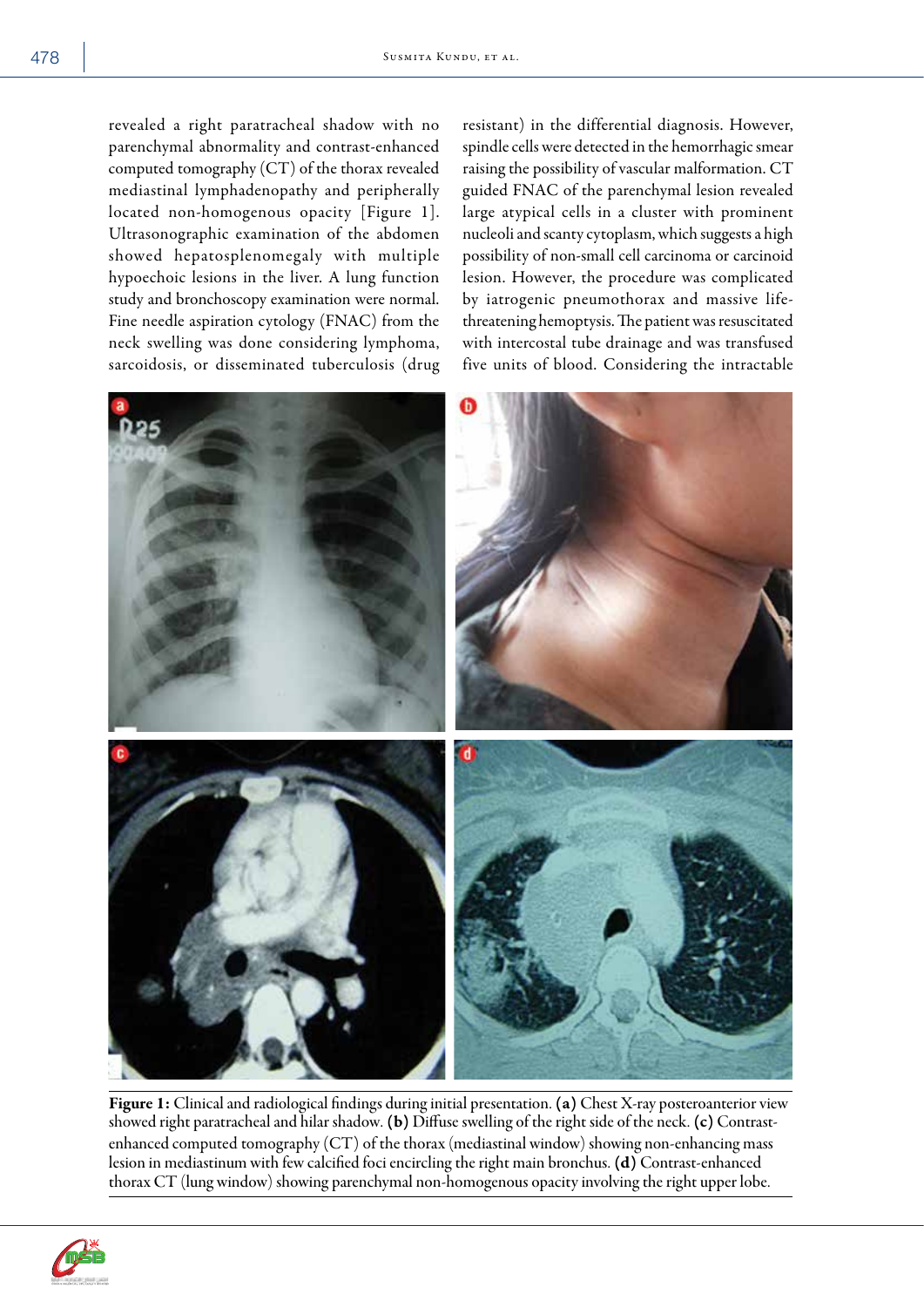revealed a right paratracheal shadow with no parenchymal abnormality and contrast-enhanced computed tomography (CT) of the thorax revealed mediastinal lymphadenopathy and peripherally located non-homogenous opacity [Figure 1]. Ultrasonographic examination of the abdomen showed hepatosplenomegaly with multiple hypoechoic lesions in the liver. A lung function study and bronchoscopy examination were normal. Fine needle aspiration cytology (FNAC) from the neck swelling was done considering lymphoma, sarcoidosis, or disseminated tuberculosis (drug

resistant) in the differential diagnosis. However, spindle cells were detected in the hemorrhagic smear raising the possibility of vascular malformation. CT guided FNAC of the parenchymal lesion revealed large atypical cells in a cluster with prominent nucleoli and scanty cytoplasm, which suggests a high possibility of non-small cell carcinoma or carcinoid lesion. However, the procedure was complicated by iatrogenic pneumothorax and massive lifethreatening hemoptysis. The patient was resuscitated with intercostal tube drainage and was transfused five units of blood. Considering the intractable



Figure 1: Clinical and radiological findings during initial presentation. (a) Chest X-ray posteroanterior view showed right paratracheal and hilar shadow. (b) Diffuse swelling of the right side of the neck. (c) Contrastenhanced computed tomography (CT) of the thorax (mediastinal window) showing non-enhancing mass lesion in mediastinum with few calcified foci encircling the right main bronchus. (d) Contrast-enhanced thorax CT (lung window) showing parenchymal non-homogenous opacity involving the right upper lobe.

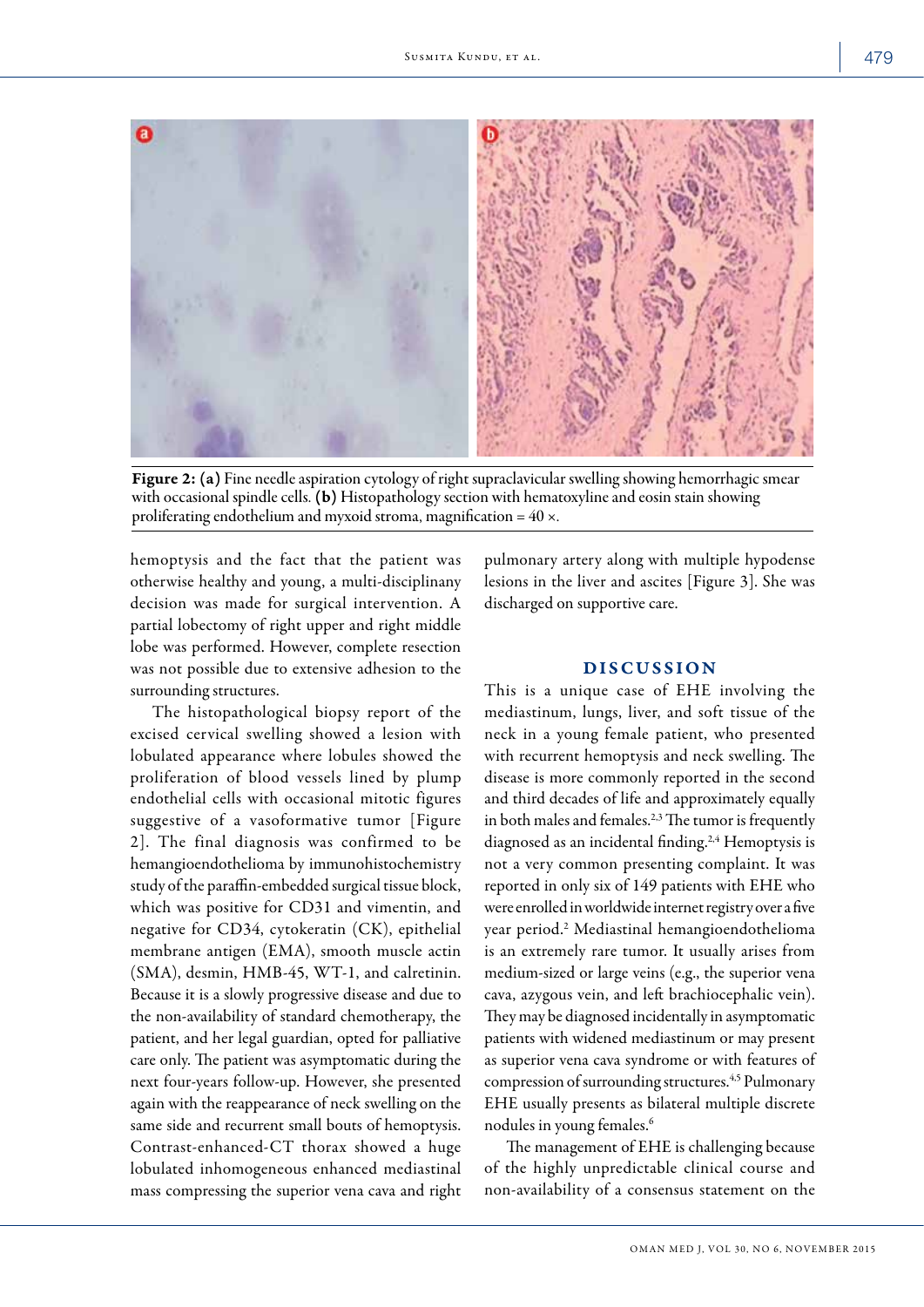

Figure 2:(a) Fine needle aspiration cytology of right supraclavicular swelling showing hemorrhagic smear with occasional spindle cells. (b) Histopathology section with hematoxyline and eosin stain showing proliferating endothelium and myxoid stroma, magnification =  $40 \times$ .

hemoptysis and the fact that the patient was otherwise healthy and young, a multi-disciplinany decision was made for surgical intervention. A partial lobectomy of right upper and right middle lobe was performed. However, complete resection was not possible due to extensive adhesion to the surrounding structures.

The histopathological biopsy report of the excised cervical swelling showed a lesion with lobulated appearance where lobules showed the proliferation of blood vessels lined by plump endothelial cells with occasional mitotic figures suggestive of a vasoformative tumor [Figure 2]. The final diagnosis was confirmed to be hemangioendothelioma by immunohistochemistry study of the paraffin-embedded surgical tissue block, which was positive for CD31 and vimentin, and negative for CD34, cytokeratin (CK), epithelial membrane antigen (EMA), smooth muscle actin (SMA), desmin, HMB-45, WT-1, and calretinin. Because it is a slowly progressive disease and due to the non-availability of standard chemotherapy, the patient, and her legal guardian, opted for palliative care only. The patient was asymptomatic during the next four-years follow-up. However, she presented again with the reappearance of neck swelling on the same side and recurrent small bouts of hemoptysis. Contrast-enhanced-CT thorax showed a huge lobulated inhomogeneous enhanced mediastinal mass compressing the superior vena cava and right

pulmonary artery along with multiple hypodense lesions in the liver and ascites [Figure 3]. She was discharged on supportive care.

## DISCUSSION

This is a unique case of EHE involving the mediastinum, lungs, liver, and soft tissue of the neck in a young female patient, who presented with recurrent hemoptysis and neck swelling. The disease is more commonly reported in the second and third decades of life and approximately equally in both males and females.<sup>2,3</sup> The tumor is frequently diagnosed as an incidental finding.<sup>2,4</sup> Hemoptysis is not a very common presenting complaint. It was reported in only six of 149 patients with EHE who were enrolled in worldwide internet registry over a five year period.2 Mediastinal hemangioendothelioma is an extremely rare tumor. It usually arises from medium-sized or large veins (e.g., the superior vena cava, azygous vein, and left brachiocephalic vein). They may be diagnosed incidentally in asymptomatic patients with widened mediastinum or may present as superior vena cava syndrome or with features of compression of surrounding structures.4,5 Pulmonary EHE usually presents as bilateral multiple discrete nodules in young females.6

The management of EHE is challenging because of the highly unpredictable clinical course and non-availability of a consensus statement on the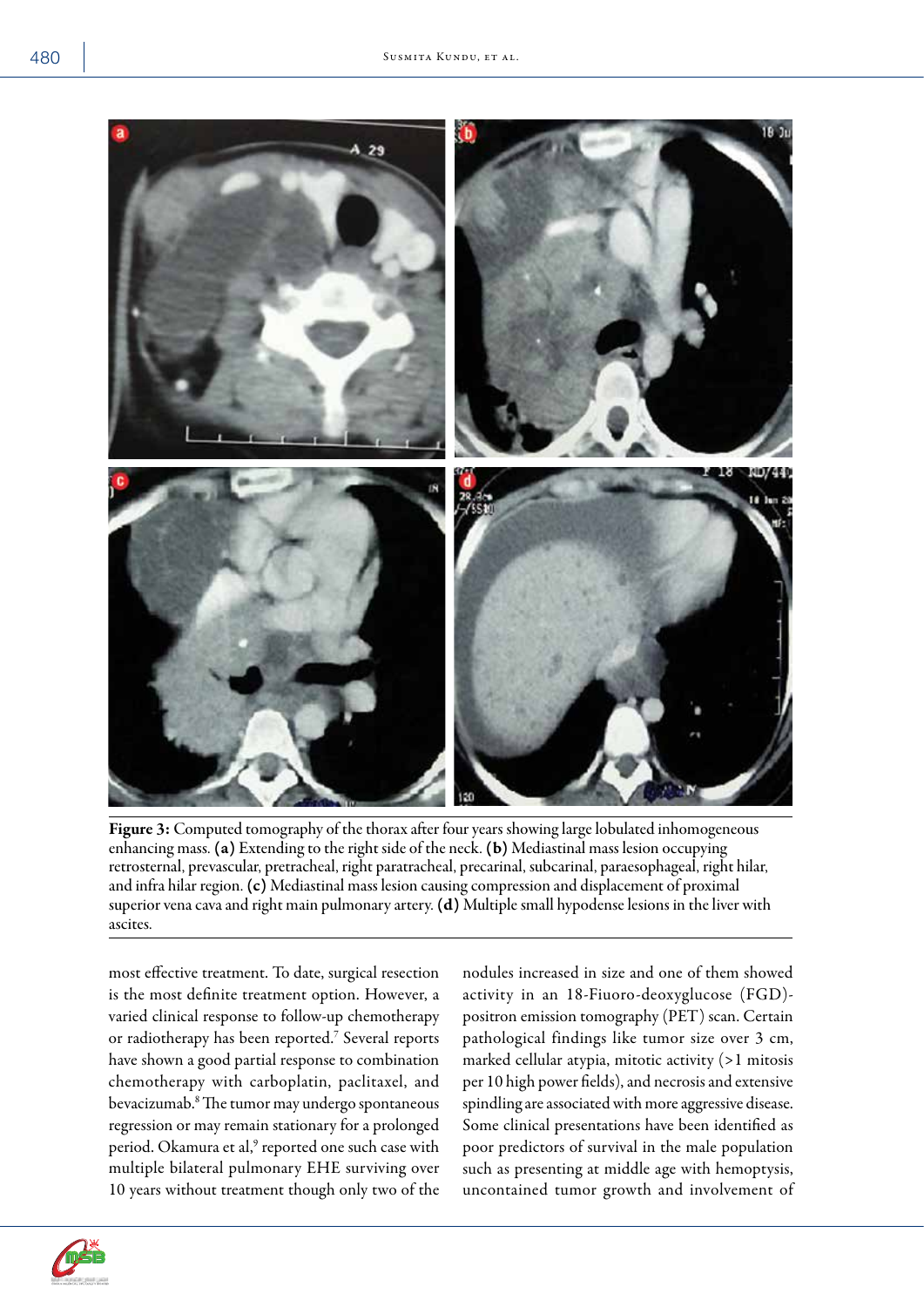

Figure 3: Computed tomography of the thorax after four years showing large lobulated inhomogeneous enhancing mass. (a) Extending to the right side of the neck. (b) Mediastinal mass lesion occupying retrosternal, prevascular, pretracheal, right paratracheal, precarinal, subcarinal, paraesophageal, right hilar, and infra hilar region. (c) Mediastinal mass lesion causing compression and displacement of proximal superior vena cava and right main pulmonary artery. (d) Multiple small hypodense lesions in the liver with ascites.

most effective treatment. To date, surgical resection is the most definite treatment option. However, a varied clinical response to follow-up chemotherapy or radiotherapy has been reported.<sup>7</sup> Several reports have shown a good partial response to combination chemotherapy with carboplatin, paclitaxel, and bevacizumab.8 The tumor may undergo spontaneous regression or may remain stationary for a prolonged period. Okamura et al,<sup>9</sup> reported one such case with multiple bilateral pulmonary EHE surviving over 10 years without treatment though only two of the

nodules increased in size and one of them showed activity in an 18-Fiuoro-deoxyglucose (FGD) positron emission tomography (PET) scan. Certain pathological findings like tumor size over 3 cm, marked cellular atypia, mitotic activity (>1 mitosis per 10 high power fields), and necrosis and extensive spindling are associated with more aggressive disease. Some clinical presentations have been identified as poor predictors of survival in the male population such as presenting at middle age with hemoptysis, uncontained tumor growth and involvement of